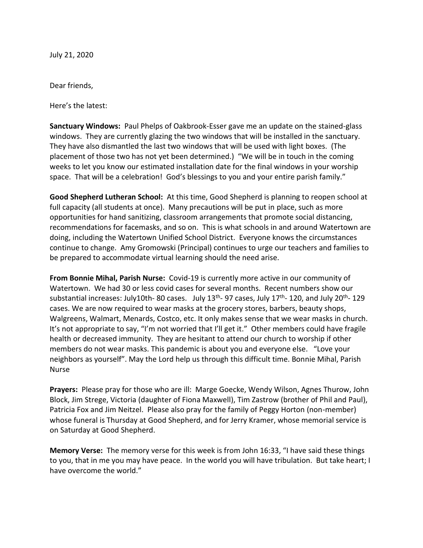July 21, 2020

Dear friends,

Here's the latest:

**Sanctuary Windows:** Paul Phelps of Oakbrook-Esser gave me an update on the stained-glass windows. They are currently glazing the two windows that will be installed in the sanctuary. They have also dismantled the last two windows that will be used with light boxes. (The placement of those two has not yet been determined.) "We will be in touch in the coming weeks to let you know our estimated installation date for the final windows in your worship space. That will be a celebration! God's blessings to you and your entire parish family."

**Good Shepherd Lutheran School:** At this time, Good Shepherd is planning to reopen school at full capacity (all students at once). Many precautions will be put in place, such as more opportunities for hand sanitizing, classroom arrangements that promote social distancing, recommendations for facemasks, and so on. This is what schools in and around Watertown are doing, including the Watertown Unified School District. Everyone knows the circumstances continue to change. Amy Gromowski (Principal) continues to urge our teachers and families to be prepared to accommodate virtual learning should the need arise.

**From Bonnie Mihal, Parish Nurse:** Covid-19 is currently more active in our community of Watertown. We had 30 or less covid cases for several months. Recent numbers show our substantial increases: July10th- 80 cases. July 13<sup>th</sup>- 97 cases, July 17<sup>th</sup>- 120, and July 20<sup>th</sup>- 129 cases. We are now required to wear masks at the grocery stores, barbers, beauty shops, Walgreens, Walmart, Menards, Costco, etc. It only makes sense that we wear masks in church. It's not appropriate to say, "I'm not worried that I'll get it." Other members could have fragile health or decreased immunity. They are hesitant to attend our church to worship if other members do not wear masks. This pandemic is about you and everyone else. "Love your neighbors as yourself". May the Lord help us through this difficult time. Bonnie Mihal, Parish Nurse

**Prayers:** Please pray for those who are ill: Marge Goecke, Wendy Wilson, Agnes Thurow, John Block, Jim Strege, Victoria (daughter of Fiona Maxwell), Tim Zastrow (brother of Phil and Paul), Patricia Fox and Jim Neitzel. Please also pray for the family of Peggy Horton (non-member) whose funeral is Thursday at Good Shepherd, and for Jerry Kramer, whose memorial service is on Saturday at Good Shepherd.

**Memory Verse:** The memory verse for this week is from John 16:33, "I have said these things to you, that in me you may have peace. In the world you will have tribulation. But take heart; I have overcome the world."